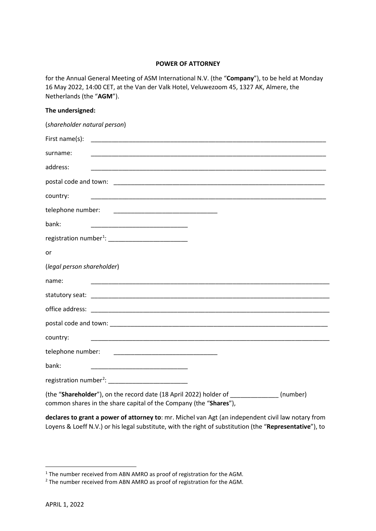## **POWER OF ATTORNEY**

for the Annual General Meeting of ASM International N.V. (the "**Company**"), to be held at Monday 16 May 2022, 14:00 CET, at the Van der Valk Hotel, Veluwezoom 45, 1327 AK, Almere, the Netherlands (the "**AGM**").

| The undersigned:                                                                                                                                     |  |
|------------------------------------------------------------------------------------------------------------------------------------------------------|--|
| (shareholder natural person)                                                                                                                         |  |
| First name(s):                                                                                                                                       |  |
| surname:                                                                                                                                             |  |
| address:                                                                                                                                             |  |
|                                                                                                                                                      |  |
| country:<br><u> 1989 - Johann Stoff, amerikansk politiker (d. 1989)</u>                                                                              |  |
| telephone number:                                                                                                                                    |  |
| bank:<br>the control of the control of the control of the control of the control of the control of                                                   |  |
|                                                                                                                                                      |  |
| or                                                                                                                                                   |  |
| (legal person shareholder)                                                                                                                           |  |
| name:                                                                                                                                                |  |
|                                                                                                                                                      |  |
|                                                                                                                                                      |  |
|                                                                                                                                                      |  |
| country:                                                                                                                                             |  |
| telephone number:<br><u> 1980 - Johann Barn, mars eta bainar eta baina eta baina eta baina eta baina eta baina eta baina eta baina eta</u>           |  |
| bank:<br><u> 1989 - Johann Barbara, martxa alemaniar a</u>                                                                                           |  |
| registration number <sup>2</sup> : ___________________________                                                                                       |  |
| (the "Shareholder"), on the record date (18 April 2022) holder of [19] (number)<br>common shares in the share capital of the Company (the "Shares"), |  |

**declares to grant a power of attorney to**: mr. Michel van Agt (an independent civil law notary from Loyens & Loeff N.V.) or his legal substitute, with the right of substitution (the "**Representative**"), to

<span id="page-0-0"></span><sup>&</sup>lt;sup>1</sup> The number received from ABN AMRO as proof of registration for the AGM.

<span id="page-0-1"></span><sup>2</sup> The number received from ABN AMRO as proof of registration for the AGM.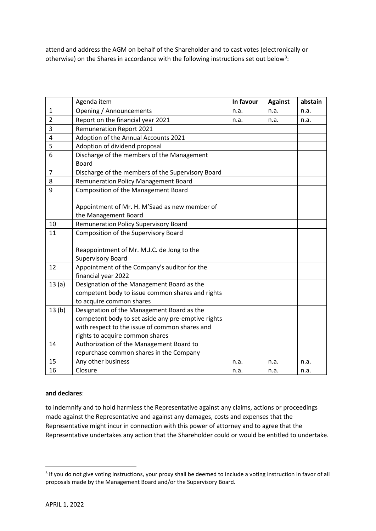attend and address the AGM on behalf of the Shareholder and to cast votes (electronically or otherwise) on the Shares in accordance with the following instructions set out below<sup>[3](#page-1-0)</sup>:

|                | Agenda item                                        | In favour | <b>Against</b> | abstain |
|----------------|----------------------------------------------------|-----------|----------------|---------|
| $\mathbf{1}$   | Opening / Announcements                            | n.a.      | n.a.           | n.a.    |
| $\overline{2}$ | Report on the financial year 2021                  | n.a.      | n.a.           | n.a.    |
| 3              | <b>Remuneration Report 2021</b>                    |           |                |         |
| 4              | Adoption of the Annual Accounts 2021               |           |                |         |
| 5              | Adoption of dividend proposal                      |           |                |         |
| 6              | Discharge of the members of the Management         |           |                |         |
|                | <b>Board</b>                                       |           |                |         |
| $\overline{7}$ | Discharge of the members of the Supervisory Board  |           |                |         |
| 8              | <b>Remuneration Policy Management Board</b>        |           |                |         |
| 9              | Composition of the Management Board                |           |                |         |
|                |                                                    |           |                |         |
|                | Appointment of Mr. H. M'Saad as new member of      |           |                |         |
|                | the Management Board                               |           |                |         |
| 10             | <b>Remuneration Policy Supervisory Board</b>       |           |                |         |
| 11             | Composition of the Supervisory Board               |           |                |         |
|                |                                                    |           |                |         |
|                | Reappointment of Mr. M.J.C. de Jong to the         |           |                |         |
|                | <b>Supervisory Board</b>                           |           |                |         |
| 12             | Appointment of the Company's auditor for the       |           |                |         |
|                | financial year 2022                                |           |                |         |
| 13(a)          | Designation of the Management Board as the         |           |                |         |
|                | competent body to issue common shares and rights   |           |                |         |
|                | to acquire common shares                           |           |                |         |
| 13(b)          | Designation of the Management Board as the         |           |                |         |
|                | competent body to set aside any pre-emptive rights |           |                |         |
|                | with respect to the issue of common shares and     |           |                |         |
|                | rights to acquire common shares                    |           |                |         |
| 14             | Authorization of the Management Board to           |           |                |         |
|                | repurchase common shares in the Company            |           |                |         |
| 15             | Any other business                                 | n.a.      | n.a.           | n.a.    |
| 16             | Closure                                            | n.a.      | n.a.           | n.a.    |

## **and declares**:

to indemnify and to hold harmless the Representative against any claims, actions or proceedings made against the Representative and against any damages, costs and expenses that the Representative might incur in connection with this power of attorney and to agree that the Representative undertakes any action that the Shareholder could or would be entitled to undertake.

<span id="page-1-0"></span><sup>&</sup>lt;sup>3</sup> If you do not give voting instructions, your proxy shall be deemed to include a voting instruction in favor of all proposals made by the Management Board and/or the Supervisory Board.